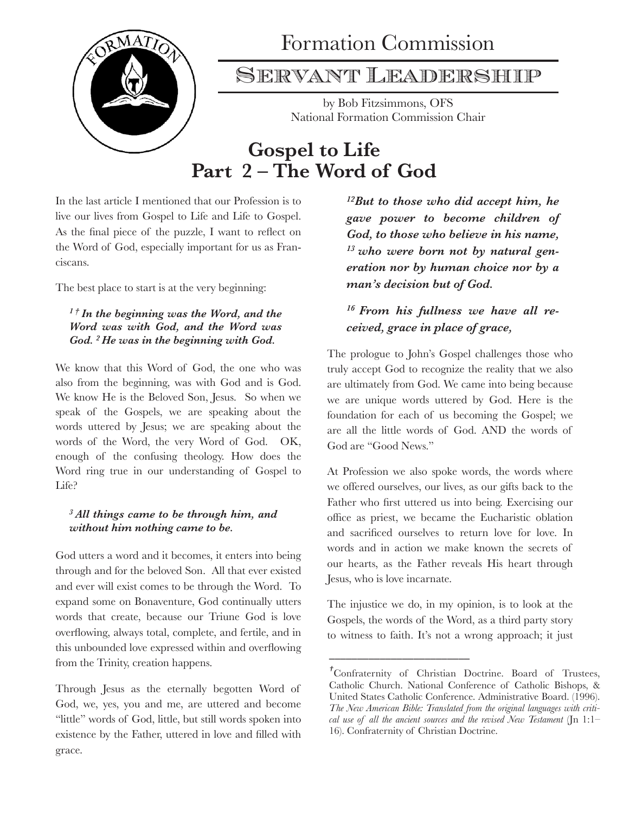

# Formation Commission

### Servant Leadership

by Bob Fitzsimmons, OFS National Formation Commission Chair

## **Gospel to Life Part 2 – The Word of God**

In the last article I mentioned that our Profession is to live our lives from Gospel to Life and Life to Gospel. As the final piece of the puzzle, I want to reflect on the Word of God, especially important for us as Franciscans.

The best place to start is at the very beginning:

#### *1 † In the beginning was the Word, and the Word was with God, and the Word was God. 2 He was in the beginning with God.*

We know that this Word of God, the one who was also from the beginning, was with God and is God. We know He is the Beloved Son, Jesus. So when we speak of the Gospels, we are speaking about the words uttered by Jesus; we are speaking about the words of the Word, the very Word of God. OK, enough of the confusing theology. How does the Word ring true in our understanding of Gospel to Life?

#### *3 All things came to be through him, and without him nothing came to be.*

God utters a word and it becomes, it enters into being through and for the beloved Son. All that ever existed and ever will exist comes to be through the Word. To expand some on Bonaventure, God continually utters words that create, because our Triune God is love overflowing, always total, complete, and fertile, and in this unbounded love expressed within and overflowing from the Trinity, creation happens.

Through Jesus as the eternally begotten Word of God, we, yes, you and me, are uttered and become "little" words of God, little, but still words spoken into existence by the Father, uttered in love and filled with grace.

*12But to those who did accept him, he gave power to become children of God, to those who believe in his name, 13 who were born not by natural generation nor by human choice nor by a man's decision but of God.* 

### *16 From his fullness we have all received, grace in place of grace,*

The prologue to John's Gospel challenges those who truly accept God to recognize the reality that we also are ultimately from God. We came into being because we are unique words uttered by God. Here is the foundation for each of us becoming the Gospel; we are all the little words of God. AND the words of God are "Good News."

At Profession we also spoke words, the words where we offered ourselves, our lives, as our gifts back to the Father who first uttered us into being. Exercising our office as priest, we became the Eucharistic oblation and sacrificed ourselves to return love for love. In words and in action we make known the secrets of our hearts, as the Father reveals His heart through Jesus, who is love incarnate.

The injustice we do, in my opinion, is to look at the Gospels, the words of the Word, as a third party story to witness to faith. It's not a wrong approach; it just

\_\_\_\_\_\_\_\_\_\_\_\_\_\_\_\_\_\_\_\_\_\_\_\_\_ 

*<sup>†</sup>*Confraternity of Christian Doctrine. Board of Trustees, Catholic Church. National Conference of Catholic Bishops, & United States Catholic Conference. Administrative Board. (1996). *The New American Bible: Translated from the original languages with critical use of all the ancient sources and the revised New Testament* (Jn 1:1– 16). Confraternity of Christian Doctrine.